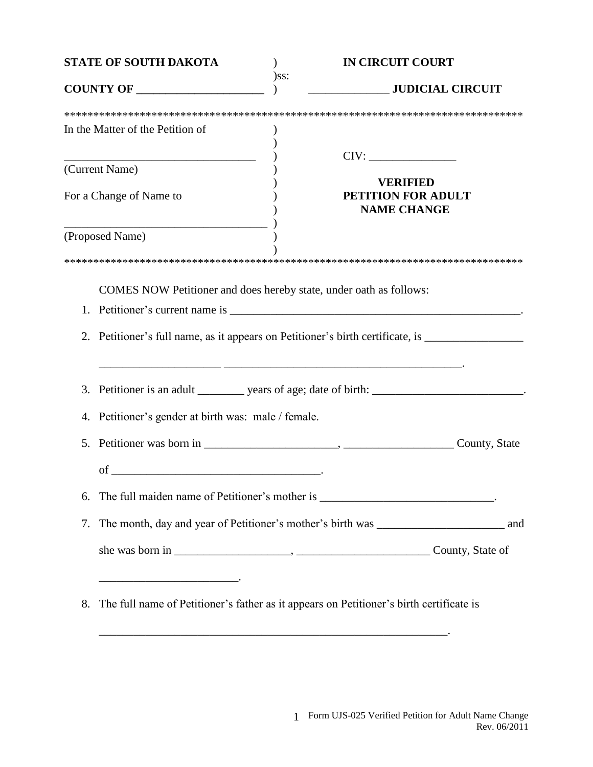| <b>STATE OF SOUTH DAKOTA</b><br>COUNTY OF |                                                                                   | <b>IN CIRCUIT COURT</b>                                                                              |  |
|-------------------------------------------|-----------------------------------------------------------------------------------|------------------------------------------------------------------------------------------------------|--|
|                                           |                                                                                   | $)$ ss:<br><b>CONFIDENTIAL CIRCUIT</b>                                                               |  |
|                                           |                                                                                   |                                                                                                      |  |
|                                           | In the Matter of the Petition of                                                  |                                                                                                      |  |
|                                           |                                                                                   |                                                                                                      |  |
|                                           | (Current Name)                                                                    |                                                                                                      |  |
| For a Change of Name to                   |                                                                                   | <b>VERIFIED</b><br>PETITION FOR ADULT<br><b>NAME CHANGE</b>                                          |  |
|                                           | (Proposed Name)                                                                   |                                                                                                      |  |
|                                           |                                                                                   |                                                                                                      |  |
|                                           |                                                                                   | COMES NOW Petitioner and does hereby state, under oath as follows:                                   |  |
| 1.                                        |                                                                                   |                                                                                                      |  |
|                                           |                                                                                   | 2. Petitioner's full name, as it appears on Petitioner's birth certificate, is _____________________ |  |
| 3.                                        |                                                                                   | Petitioner is an adult ________ years of age; date of birth: _________________________.              |  |
| 4.                                        | Petitioner's gender at birth was: male / female.                                  |                                                                                                      |  |
| 5.                                        |                                                                                   |                                                                                                      |  |
|                                           | of                                                                                |                                                                                                      |  |
| 6.                                        | The full maiden name of Petitioner's mother is _________________________________. |                                                                                                      |  |
| 7.                                        |                                                                                   |                                                                                                      |  |
|                                           |                                                                                   |                                                                                                      |  |
|                                           |                                                                                   |                                                                                                      |  |
| 8.                                        |                                                                                   | The full name of Petitioner's father as it appears on Petitioner's birth certificate is              |  |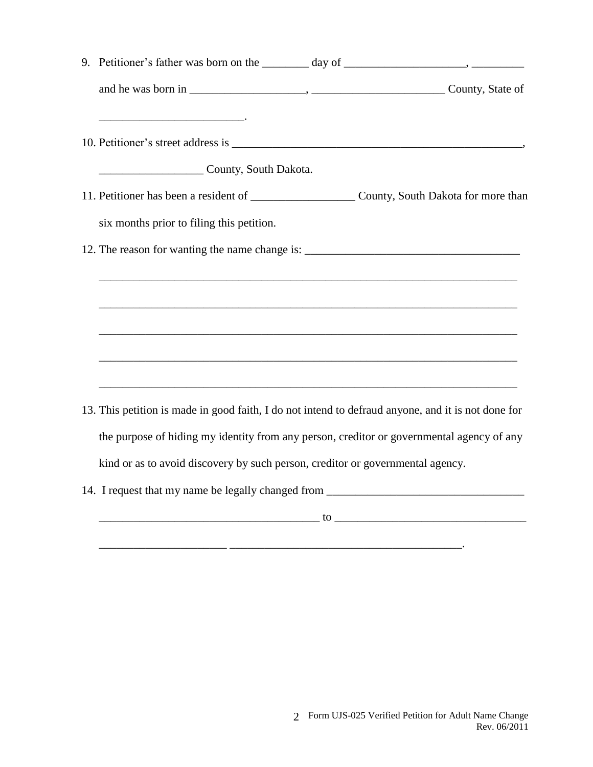|  | County, South Dakota.                                                                              |  |  |
|--|----------------------------------------------------------------------------------------------------|--|--|
|  |                                                                                                    |  |  |
|  | six months prior to filing this petition.                                                          |  |  |
|  | 12. The reason for wanting the name change is: __________________________________                  |  |  |
|  |                                                                                                    |  |  |
|  |                                                                                                    |  |  |
|  | ,我们也不能在这里的时候,我们也不能在这里的时候,我们也不能在这里的时候,我们也不能会在这里的时候,我们也不能会在这里的时候,我们也不能会在这里的时候,我们也不能                  |  |  |
|  |                                                                                                    |  |  |
|  |                                                                                                    |  |  |
|  | 13. This petition is made in good faith, I do not intend to defraud anyone, and it is not done for |  |  |
|  | the purpose of hiding my identity from any person, creditor or governmental agency of any          |  |  |
|  | kind or as to avoid discovery by such person, creditor or governmental agency.                     |  |  |
|  | 14. I request that my name be legally changed from ______________________________                  |  |  |
|  |                                                                                                    |  |  |

\_\_\_\_\_\_\_\_\_\_\_\_\_\_\_\_\_\_\_\_\_\_ \_\_\_\_\_\_\_\_\_\_\_\_\_\_\_\_\_\_\_\_\_\_\_\_\_\_\_\_\_\_\_\_\_\_\_\_\_\_\_\_.